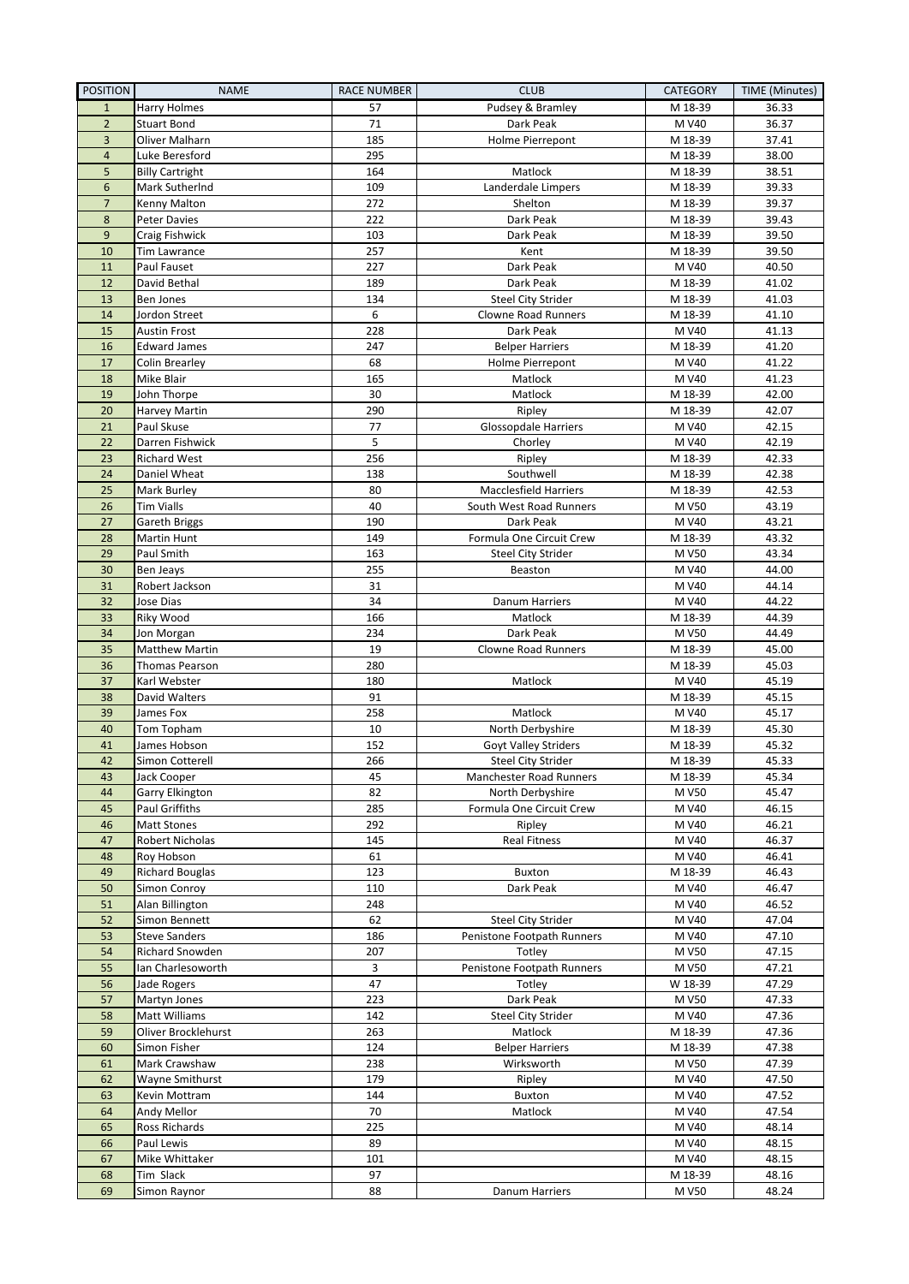| <b>POSITION</b> | <b>NAME</b>                    | <b>RACE NUMBER</b> | <b>CLUB</b>                                          | <b>CATEGORY</b>    | TIME (Minutes) |
|-----------------|--------------------------------|--------------------|------------------------------------------------------|--------------------|----------------|
| $\mathbf{1}$    | Harry Holmes                   | 57                 | Pudsey & Bramley                                     | M 18-39            | 36.33          |
| $\overline{2}$  | <b>Stuart Bond</b>             | 71                 | Dark Peak                                            | M V40              | 36.37          |
| 3               | Oliver Malharn                 | 185                | Holme Pierrepont                                     | M 18-39            | 37.41          |
| $\overline{4}$  | Luke Beresford                 | 295                |                                                      | M 18-39            | 38.00          |
| 5               | <b>Billy Cartright</b>         | 164                | Matlock                                              | M 18-39            | 38.51          |
| 6               | Mark SutherInd                 | 109                | Landerdale Limpers                                   | M 18-39            | 39.33          |
| $\overline{7}$  | Kenny Malton                   | 272                | Shelton                                              | M 18-39            | 39.37          |
| $\bf 8$         | Peter Davies                   | 222                | Dark Peak                                            | M 18-39            | 39.43          |
| 9               | Craig Fishwick                 | 103                | Dark Peak                                            | M 18-39            | 39.50          |
| 10              | Tim Lawrance                   | 257                | Kent                                                 | M 18-39            | 39.50          |
| 11              | Paul Fauset                    | 227                | Dark Peak                                            | M V40              | 40.50          |
| 12<br>13        | David Bethal<br>Ben Jones      | 189<br>134         | Dark Peak                                            | M 18-39            | 41.02<br>41.03 |
| 14              |                                | 6                  | <b>Steel City Strider</b><br>Clowne Road Runners     | M 18-39<br>M 18-39 | 41.10          |
| 15              | Jordon Street<br>Austin Frost  | 228                | Dark Peak                                            | M V40              | 41.13          |
| 16              | <b>Edward James</b>            | 247                | <b>Belper Harriers</b>                               | M 18-39            | 41.20          |
| 17              | Colin Brearley                 | 68                 | Holme Pierrepont                                     | M V40              | 41.22          |
| 18              | Mike Blair                     | 165                | Matlock                                              | M V40              | 41.23          |
| 19              | John Thorpe                    | 30                 | Matlock                                              | M 18-39            | 42.00          |
| 20              | Harvey Martin                  | 290                | Ripley                                               | M 18-39            | 42.07          |
| 21              | Paul Skuse                     | 77                 | <b>Glossopdale Harriers</b>                          | M V40              | 42.15          |
| 22              | Darren Fishwick                | 5                  | Chorley                                              | M V40              | 42.19          |
| 23              | <b>Richard West</b>            | 256                | Ripley                                               | M 18-39            | 42.33          |
| 24              | Daniel Wheat                   | 138                | Southwell                                            | M 18-39            | 42.38          |
| 25              | Mark Burley                    | 80                 | <b>Macclesfield Harriers</b>                         | M 18-39            | 42.53          |
| 26              | <b>Tim Vialls</b>              | 40                 | South West Road Runners                              | M V50              | 43.19          |
| 27              | Gareth Briggs                  | 190                | Dark Peak                                            | M V40              | 43.21          |
| 28              | Martin Hunt                    | 149                | Formula One Circuit Crew                             | M 18-39            | 43.32          |
| 29              | Paul Smith                     | 163                | <b>Steel City Strider</b>                            | M V50              | 43.34          |
| 30              | Ben Jeays                      | 255                | Beaston                                              | M V40              | 44.00          |
| 31              | Robert Jackson                 | 31                 |                                                      | M V40              | 44.14          |
| 32              | Jose Dias                      | 34                 | Danum Harriers                                       | M V40              | 44.22          |
| 33              | Riky Wood                      | 166                | Matlock                                              | M 18-39            | 44.39          |
| 34              | Jon Morgan                     | 234                | Dark Peak                                            | M V50              | 44.49          |
| 35              | Matthew Martin                 | 19                 | Clowne Road Runners                                  | M 18-39            | 45.00          |
| 36              | Thomas Pearson                 | 280                |                                                      | M 18-39            | 45.03          |
| 37              | Karl Webster                   | 180                | Matlock                                              | M V40              | 45.19          |
| 38              | David Walters                  | 91                 |                                                      | M 18-39            | 45.15          |
| 39              | James Fox                      | 258                | Matlock                                              | M V40              | 45.17          |
| 40              | Tom Topham                     | 10                 | North Derbyshire                                     | M 18-39            | 45.30          |
| 41              | James Hobson                   | 152                | <b>Goyt Valley Striders</b>                          | M 18-39            | 45.32          |
| 42<br>43        | Simon Cotterell<br>Jack Cooper | 266<br>45          | <b>Steel City Strider</b><br>Manchester Road Runners | M 18-39<br>M 18-39 | 45.33<br>45.34 |
| 44              | Garry Elkington                | 82                 | North Derbyshire                                     | M V50              | 45.47          |
| 45              | Paul Griffiths                 | 285                | Formula One Circuit Crew                             | M V40              | 46.15          |
| 46              | <b>Matt Stones</b>             | 292                | Ripley                                               | M V40              | 46.21          |
| 47              | Robert Nicholas                | 145                | <b>Real Fitness</b>                                  | M V40              | 46.37          |
| 48              | Roy Hobson                     | 61                 |                                                      | M V40              | 46.41          |
| 49              | <b>Richard Bouglas</b>         | 123                | Buxton                                               | M 18-39            | 46.43          |
| 50              | Simon Conroy                   | 110                | Dark Peak                                            | M V40              | 46.47          |
| 51              | Alan Billington                | 248                |                                                      | M V40              | 46.52          |
| 52              | Simon Bennett                  | 62                 | <b>Steel City Strider</b>                            | M V40              | 47.04          |
| 53              | <b>Steve Sanders</b>           | 186                | Penistone Footpath Runners                           | M V40              | 47.10          |
| 54              | <b>Richard Snowden</b>         | 207                | Totley                                               | M V50              | 47.15          |
| 55              | Ian Charlesoworth              | 3                  | Penistone Footpath Runners                           | M V50              | 47.21          |
| 56              | Jade Rogers                    | 47                 | Totley                                               | W 18-39            | 47.29          |
| 57              | Martyn Jones                   | 223                | Dark Peak                                            | M V50              | 47.33          |
| 58              | Matt Williams                  | 142                | <b>Steel City Strider</b>                            | M V40              | 47.36          |
| 59              | Oliver Brocklehurst            | 263                | Matlock                                              | M 18-39            | 47.36          |
| 60              | Simon Fisher                   | 124                | <b>Belper Harriers</b>                               | M 18-39            | 47.38          |
| 61              | Mark Crawshaw                  | 238                | Wirksworth                                           | M V50              | 47.39          |
| 62              | Wayne Smithurst                | 179                | Ripley                                               | M V40              | 47.50          |
| 63              | Kevin Mottram                  | 144                | Buxton                                               | M V40              | 47.52          |
| 64              | Andy Mellor                    | 70                 | Matlock                                              | M V40              | 47.54          |
| 65              | Ross Richards                  | 225                |                                                      | M V40              | 48.14          |
| 66              | Paul Lewis                     | 89                 |                                                      | M V40              | 48.15          |
| 67              | Mike Whittaker                 | 101                |                                                      | M V40              | 48.15          |
| 68              | Tim Slack                      | 97                 |                                                      | M 18-39            | 48.16          |
| 69              | Simon Raynor                   | 88                 | Danum Harriers                                       | M V50              | 48.24          |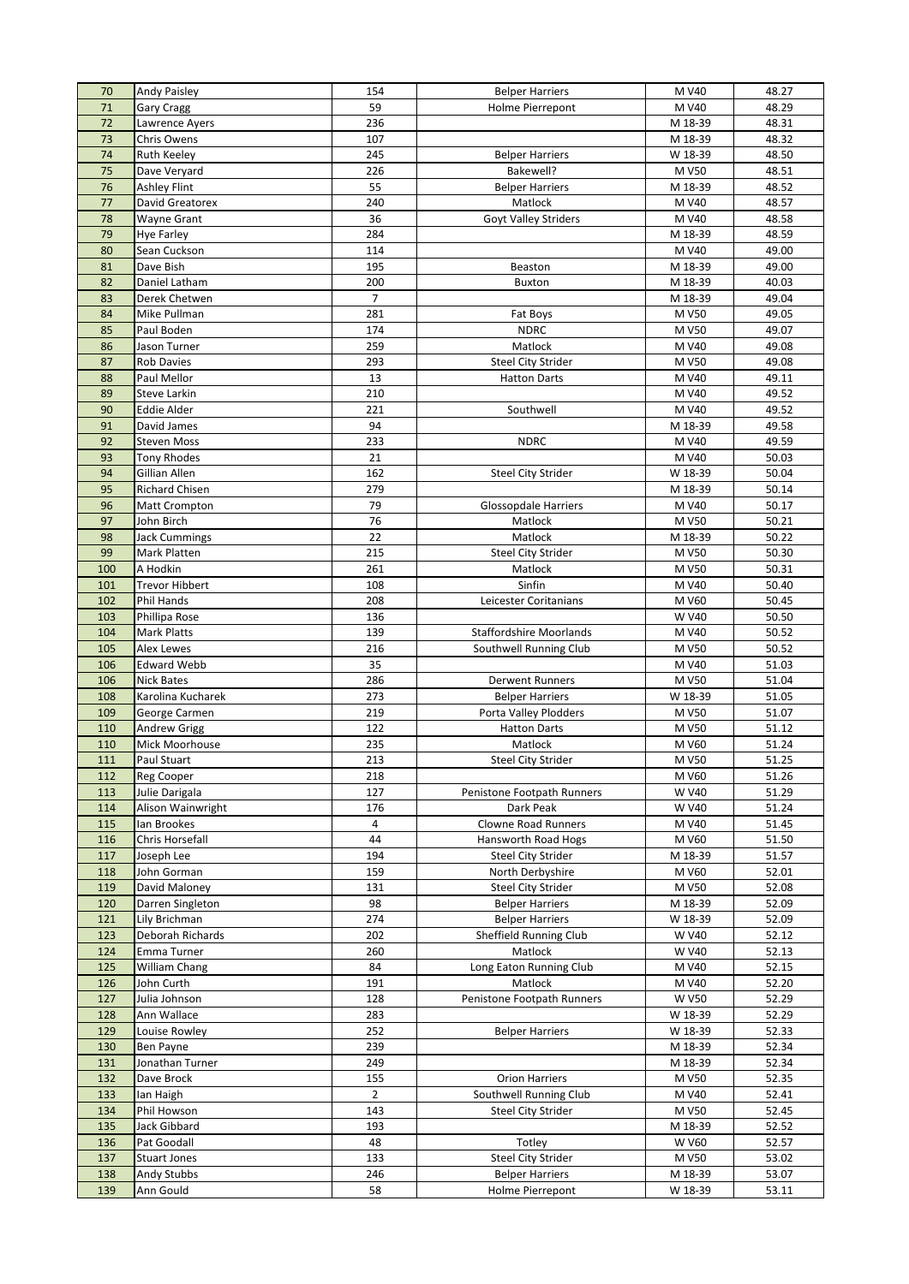| 70         | <b>Andy Paisley</b>         | 154            | <b>Belper Harriers</b>         | M V40          | 48.27          |
|------------|-----------------------------|----------------|--------------------------------|----------------|----------------|
| 71         | <b>Gary Cragg</b>           | 59             | Holme Pierrepont               | M V40          | 48.29          |
| 72         | Lawrence Ayers              | 236            |                                | M 18-39        | 48.31          |
| 73         | <b>Chris Owens</b>          | 107            |                                | M 18-39        | 48.32          |
| 74         | Ruth Keeley                 | 245            | <b>Belper Harriers</b>         | W 18-39        | 48.50          |
| 75         | Dave Veryard                | 226            | Bakewell?                      | M V50          | 48.51          |
| 76         | <b>Ashley Flint</b>         | 55             | <b>Belper Harriers</b>         | M 18-39        | 48.52          |
| 77         | David Greatorex             | 240            | Matlock                        | M V40          | 48.57          |
| 78         | Wayne Grant                 | 36             | Goyt Valley Striders           | M V40          | 48.58          |
| 79         | <b>Hye Farley</b>           | 284            |                                | M 18-39        | 48.59          |
| 80         | Sean Cuckson                | 114            |                                | M V40          | 49.00          |
| 81         | Dave Bish                   | 195            | Beaston                        |                |                |
|            |                             |                |                                | M 18-39        | 49.00          |
| 82         | Daniel Latham               | 200            | <b>Buxton</b>                  | M 18-39        | 40.03          |
| 83         | Derek Chetwen               | $\overline{7}$ |                                | M 18-39        | 49.04          |
| 84         | Mike Pullman                | 281            | Fat Boys                       | M V50          | 49.05          |
| 85         | Paul Boden                  | 174            | <b>NDRC</b>                    | M V50          | 49.07          |
| 86         | Jason Turner                | 259            | Matlock                        | M V40          | 49.08          |
| 87         | <b>Rob Davies</b>           | 293            | <b>Steel City Strider</b>      | M V50          | 49.08          |
| 88         | Paul Mellor                 | 13             | <b>Hatton Darts</b>            | M V40          | 49.11          |
| 89         | Steve Larkin                | 210            |                                | M V40          | 49.52          |
| 90         | <b>Eddie Alder</b>          | 221            | Southwell                      | M V40          | 49.52          |
| 91         | David James                 | 94             |                                | M 18-39        | 49.58          |
| 92         | <b>Steven Moss</b>          | 233            | <b>NDRC</b>                    | M V40          | 49.59          |
| 93         | <b>Tony Rhodes</b>          | 21             |                                | M V40          | 50.03          |
| 94         | Gillian Allen               | 162            | <b>Steel City Strider</b>      | W 18-39        | 50.04          |
| 95         | Richard Chisen              | 279            |                                | M 18-39        | 50.14          |
| 96         | <b>Matt Crompton</b>        | 79             | <b>Glossopdale Harriers</b>    | M V40          | 50.17          |
| 97         | John Birch                  | 76             | Matlock                        | M V50          | 50.21          |
| 98         | <b>Jack Cummings</b>        | 22             | Matlock                        | M 18-39        | 50.22          |
| 99         | Mark Platten                | 215            | <b>Steel City Strider</b>      | M V50          | 50.30          |
| 100        | A Hodkin                    | 261            | Matlock                        | M V50          | 50.31          |
| 101        | <b>Trevor Hibbert</b>       | 108            | Sinfin                         | M V40          | 50.40          |
| 102        | Phil Hands                  | 208            | Leicester Coritanians          | M V60          | 50.45          |
| 103        | Phillipa Rose               | 136            |                                | W V40          | 50.50          |
| 104        | Mark Platts                 | 139            | <b>Staffordshire Moorlands</b> | M V40          | 50.52          |
| 105        | Alex Lewes                  | 216            | Southwell Running Club         | M V50          | 50.52          |
| 106        | <b>Edward Webb</b>          | 35             |                                | M V40          | 51.03          |
| 106        |                             | 286            |                                | M V50          | 51.04          |
|            | Nick Bates                  |                | Derwent Runners                |                |                |
| 108        | Karolina Kucharek           | 273            | <b>Belper Harriers</b>         | W 18-39        | 51.05          |
| 109        | George Carmen               | 219            | Porta Valley Plodders          | M V50          | 51.07          |
| 110        | Andrew Grigg                | 122            | <b>Hatton Darts</b>            | M V50          | 51.12          |
| 110        | Mick Moorhouse              | 235            | Matlock                        | M V60          | 51.24          |
| 111        | Paul Stuart                 | 213            | Steel City Strider             | M V50          | 51.25          |
| 112        | Reg Cooper                  | 218            |                                | M V60          | 51.26          |
| 113        | Julie Darigala              | 127            | Penistone Footpath Runners     | W V40          | 51.29          |
| 114        | Alison Wainwright           | 176            | Dark Peak                      | W V40          | 51.24          |
| 115        | lan Brookes                 | 4              | Clowne Road Runners            | M V40          | 51.45          |
| 116        | Chris Horsefall             | 44             | Hansworth Road Hogs            | M V60          | 51.50          |
| 117        | Joseph Lee                  | 194            | Steel City Strider             | M 18-39        | 51.57          |
| 118        | John Gorman                 | 159            | North Derbyshire               | M V60          | 52.01          |
| 119        | David Maloney               | 131            | Steel City Strider             | M V50          | 52.08          |
| 120        | Darren Singleton            | 98             | <b>Belper Harriers</b>         | M 18-39        | 52.09          |
| 121        | Lily Brichman               | 274            | <b>Belper Harriers</b>         | W 18-39        | 52.09          |
| 123        | Deborah Richards            | 202            | Sheffield Running Club         | W V40          | 52.12          |
| 124        | Emma Turner                 | 260            | Matlock                        | W V40          | 52.13          |
| 125        | William Chang               | 84             | Long Eaton Running Club        | M V40          | 52.15          |
| 126        | John Curth                  | 191            | Matlock                        | M V40          | 52.20          |
| 127        | Julia Johnson               | 128            | Penistone Footpath Runners     | <b>W V50</b>   | 52.29          |
| 128        | Ann Wallace                 | 283            |                                | W 18-39        | 52.29          |
| 129        | Louise Rowley               | 252            | <b>Belper Harriers</b>         | W 18-39        | 52.33          |
| 130        | Ben Payne                   | 239            |                                | M 18-39        | 52.34          |
| 131        | Jonathan Turner             | 249            |                                | M 18-39        | 52.34          |
| 132        | Dave Brock                  | 155            | <b>Orion Harriers</b>          | M V50          | 52.35          |
| 133        | lan Haigh                   | $\overline{2}$ | Southwell Running Club         | M V40          | 52.41          |
| 134        | Phil Howson                 | 143            | <b>Steel City Strider</b>      | M V50          | 52.45          |
|            |                             |                |                                |                |                |
| 135        | Jack Gibbard<br>Pat Goodall | 193            | Totley                         | M 18-39        | 52.52          |
| 136<br>137 |                             | 48<br>133      | <b>Steel City Strider</b>      | W V60<br>M V50 | 52.57<br>53.02 |
|            | <b>Stuart Jones</b>         |                |                                |                |                |
| 138        | Andy Stubbs                 | 246            | <b>Belper Harriers</b>         | M 18-39        | 53.07<br>53.11 |
| 139        | Ann Gould                   | 58             | Holme Pierrepont               | W 18-39        |                |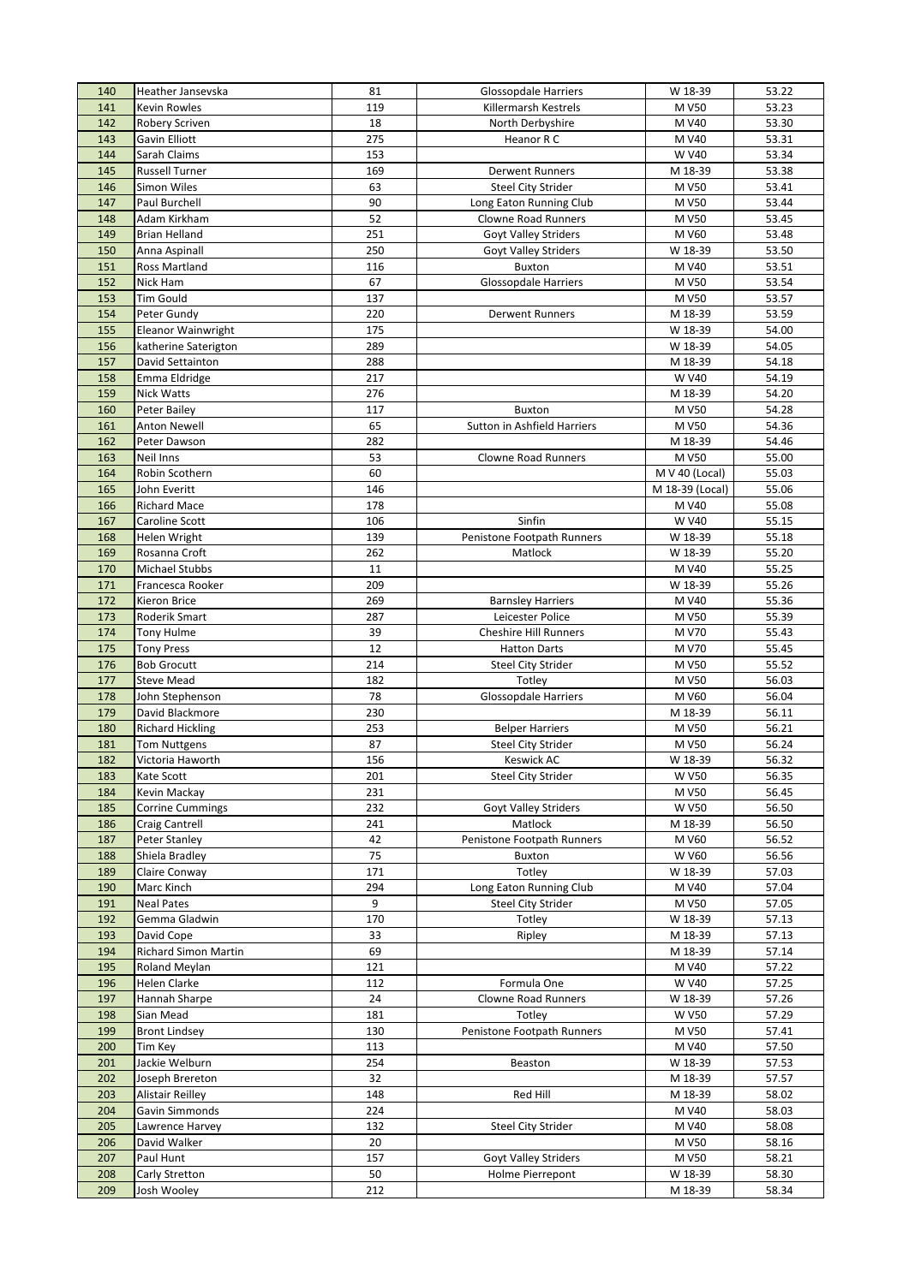| 140        | Heather Jansevska                         | 81       | <b>Glossopdale Harriers</b>         | W 18-39            | 53.22          |
|------------|-------------------------------------------|----------|-------------------------------------|--------------------|----------------|
| 141        | <b>Kevin Rowles</b>                       | 119      | Killermarsh Kestrels                | M V50              | 53.23          |
| 142        | Robery Scriven                            | 18       | North Derbyshire                    | M V40              | 53.30          |
| 143        | Gavin Elliott                             | 275      | Heanor R C                          | M V40              | 53.31          |
| 144        | Sarah Claims                              | 153      |                                     | W V40              | 53.34          |
| 145        | <b>Russell Turner</b>                     | 169      | <b>Derwent Runners</b>              | M 18-39            | 53.38          |
| 146        | Simon Wiles                               | 63       | <b>Steel City Strider</b>           | M V50              | 53.41          |
| 147        | Paul Burchell                             | 90       | Long Eaton Running Club             | M V50              | 53.44          |
| 148        | Adam Kirkham                              | 52       | <b>Clowne Road Runners</b>          | M V50              | 53.45          |
| 149        | <b>Brian Helland</b>                      | 251      | Goyt Valley Striders                | M V60              | 53.48          |
| 150        | Anna Aspinall                             | 250      | Goyt Valley Striders                | W 18-39            | 53.50          |
| 151        | Ross Martland                             | 116      | Buxton                              | M V40              | 53.51          |
| 152        | Nick Ham                                  | 67       | <b>Glossopdale Harriers</b>         | M V50              | 53.54          |
| 153        | <b>Tim Gould</b>                          | 137      |                                     | M V50              | 53.57          |
| 154        | Peter Gundy                               | 220      | <b>Derwent Runners</b>              | M 18-39            | 53.59          |
| 155        | Eleanor Wainwright                        | 175      |                                     | W 18-39            | 54.00          |
| 156        | katherine Saterigton                      | 289      |                                     | W 18-39            | 54.05          |
| 157        | David Settainton                          | 288      |                                     | M 18-39            | 54.18          |
| 158        | Emma Eldridge                             | 217      |                                     | W V40              | 54.19          |
| 159        | Nick Watts                                | 276      |                                     | M 18-39            | 54.20          |
| 160        | Peter Bailey                              | 117      | <b>Buxton</b>                       | M V50              | 54.28          |
| 161        | Anton Newell                              | 65       | Sutton in Ashfield Harriers         | M V50              | 54.36          |
| 162        | Peter Dawson                              | 282      |                                     | M 18-39            | 54.46          |
| 163        | Neil Inns                                 | 53       | <b>Clowne Road Runners</b>          | M V50              | 55.00          |
| 164        | Robin Scothern                            | 60       |                                     | M V 40 (Local)     | 55.03          |
| 165        | John Everitt                              | 146      |                                     | M 18-39 (Local)    | 55.06          |
| 166        | <b>Richard Mace</b>                       | 178      |                                     | M V40              | 55.08          |
| 167        | Caroline Scott                            | 106      | Sinfin                              | W V40              | 55.15          |
| 168        | Helen Wright                              | 139      | Penistone Footpath Runners          | W 18-39            | 55.18          |
| 169        | Rosanna Croft                             | 262      | Matlock                             | W 18-39            | 55.20          |
| 170        | Michael Stubbs                            | 11       |                                     | M V40              | 55.25          |
| 171        | Francesca Rooker                          | 209      |                                     | W 18-39            | 55.26          |
| 172        | Kieron Brice                              | 269      | <b>Barnsley Harriers</b>            | M V40              | 55.36          |
| 173        | Roderik Smart                             | 287      | Leicester Police                    | M V50              | 55.39          |
| 174        | <b>Tony Hulme</b>                         | 39       | <b>Cheshire Hill Runners</b>        | M V70              | 55.43          |
| 175        | <b>Tony Press</b>                         | 12       | <b>Hatton Darts</b>                 | M V70              | 55.45          |
| 176        | <b>Bob Grocutt</b>                        | 214      | <b>Steel City Strider</b>           | M V50              | 55.52          |
| 177        | <b>Steve Mead</b>                         | 182      | Totley                              | M V50              | 56.03          |
| 178        | John Stephenson                           | 78       | <b>Glossopdale Harriers</b>         | M V60              | 56.04          |
| 179        | David Blackmore                           | 230      |                                     | M 18-39            | 56.11          |
| 180        | <b>Richard Hickling</b>                   | 253      | <b>Belper Harriers</b>              | M V50              | 56.21          |
| 181        | <b>Tom Nuttgens</b>                       | 87       | <b>Steel City Strider</b>           | M V50              | 56.24          |
| 182        | Victoria Haworth                          | 156      | Keswick AC                          | W 18-39            | 56.32          |
| 183        | Kate Scott                                | 201      | <b>Steel City Strider</b>           | <b>W V50</b>       | 56.35          |
| 184        | Kevin Mackay                              | 231      |                                     | M V50              | 56.45          |
| 185        | <b>Corrine Cummings</b>                   | 232      | Goyt Valley Striders                | <b>W V50</b>       | 56.50          |
| 186        | <b>Craig Cantrell</b>                     | 241      | Matlock                             | M 18-39            | 56.50          |
| 187        | Peter Stanley                             | 42       | Penistone Footpath Runners          | M V60              | 56.52          |
| 188        | Shiela Bradley                            | 75       | Buxton                              | <b>W V60</b>       | 56.56          |
| 189        | Claire Conway                             | 171      | Totley                              | W 18-39            | 57.03          |
| 190        | Marc Kinch                                | 294<br>9 | Long Eaton Running Club             | M V40              | 57.04          |
| 191<br>192 | <b>Neal Pates</b><br>Gemma Gladwin        | 170      | <b>Steel City Strider</b><br>Totley | M V50<br>W 18-39   | 57.05<br>57.13 |
|            |                                           |          |                                     |                    |                |
| 193<br>194 | David Cope<br><b>Richard Simon Martin</b> | 33<br>69 | Ripley                              | M 18-39<br>M 18-39 | 57.13<br>57.14 |
| 195        | Roland Meylan                             | 121      |                                     | M V40              | 57.22          |
| 196        | Helen Clarke                              | 112      | Formula One                         | W V40              | 57.25          |
| 197        | Hannah Sharpe                             | 24       | Clowne Road Runners                 | W 18-39            | 57.26          |
| 198        | Sian Mead                                 | 181      | Totley                              | W V50              | 57.29          |
| 199        | <b>Bront Lindsey</b>                      | 130      | Penistone Footpath Runners          | M V50              | 57.41          |
| 200        | Tim Key                                   | 113      |                                     | M V40              | 57.50          |
| 201        | Jackie Welburn                            | 254      | Beaston                             | W 18-39            | 57.53          |
| 202        | Joseph Brereton                           | 32       |                                     | M 18-39            | 57.57          |
| 203        | <b>Alistair Reilley</b>                   | 148      | Red Hill                            | M 18-39            | 58.02          |
| 204        | Gavin Simmonds                            | 224      |                                     | M V40              | 58.03          |
| 205        | Lawrence Harvey                           | 132      | <b>Steel City Strider</b>           | M V40              | 58.08          |
| 206        | David Walker                              | 20       |                                     | M V50              | 58.16          |
| 207        | Paul Hunt                                 | 157      | Goyt Valley Striders                | M V50              | 58.21          |
| 208        | Carly Stretton                            | 50       | Holme Pierrepont                    | W 18-39            | 58.30          |
| 209        | Josh Wooley                               | 212      |                                     | M 18-39            | 58.34          |
|            |                                           |          |                                     |                    |                |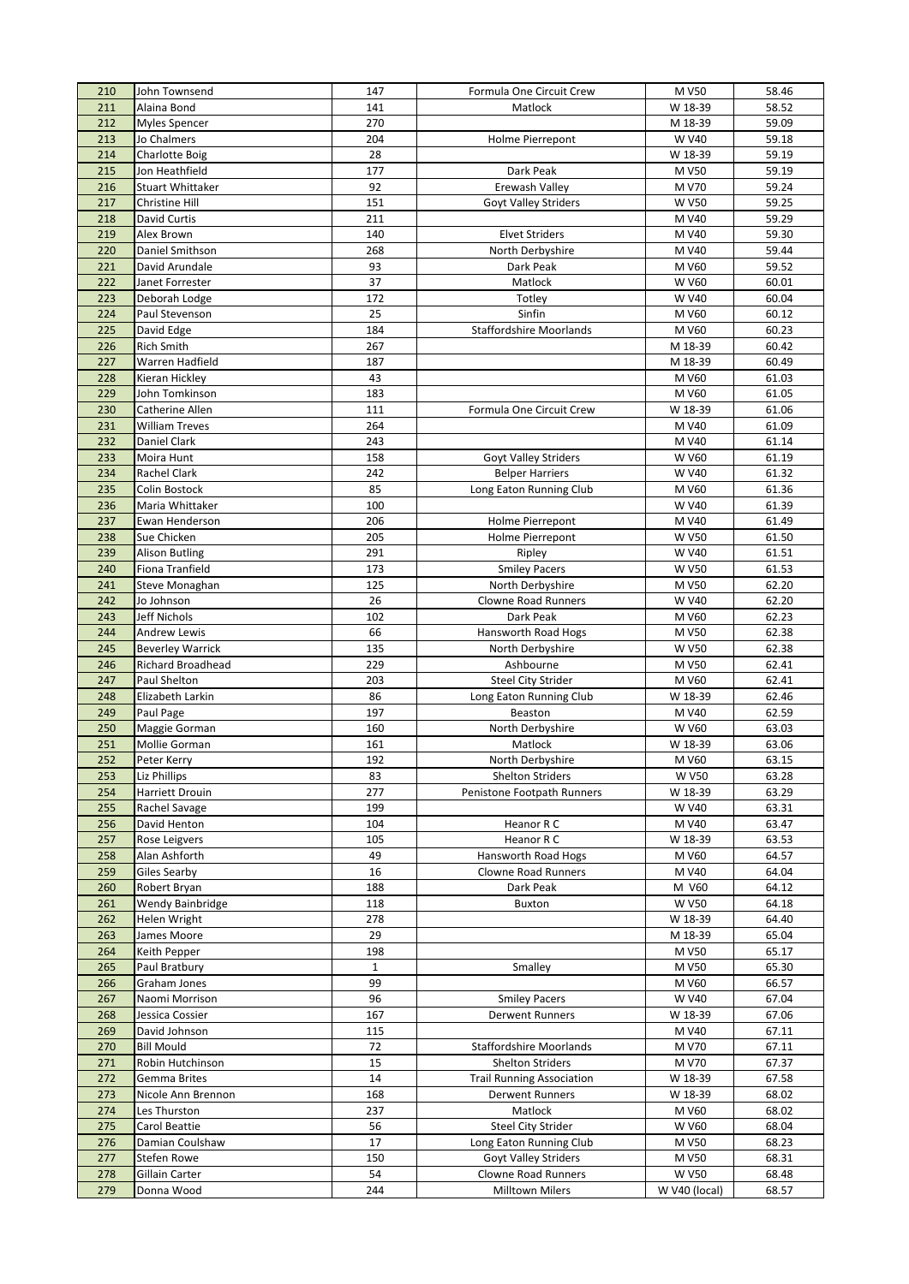| 210        | John Townsend                  | 147          | Formula One Circuit Crew         | M V50                 | 58.46          |
|------------|--------------------------------|--------------|----------------------------------|-----------------------|----------------|
| 211        | Alaina Bond                    | 141          | Matlock                          | W 18-39               | 58.52          |
| 212        | <b>Myles Spencer</b>           | 270          |                                  | M 18-39               | 59.09          |
| 213        | Jo Chalmers                    | 204          | Holme Pierrepont                 | W V40                 | 59.18          |
| 214        | <b>Charlotte Boig</b>          | 28           |                                  | W 18-39               | 59.19          |
| 215        | Jon Heathfield                 | 177          | Dark Peak                        | M V50                 | 59.19          |
| 216        | <b>Stuart Whittaker</b>        | 92           | Erewash Valley                   | M V70                 | 59.24          |
| 217        | Christine Hill                 | 151          | Goyt Valley Striders             | <b>W V50</b>          | 59.25          |
| 218        | David Curtis                   | 211          |                                  | M V40                 | 59.29          |
| 219        | Alex Brown                     | 140          | <b>Elvet Striders</b>            | M V40                 | 59.30          |
| 220        | Daniel Smithson                | 268          | North Derbyshire                 | M V40                 | 59.44          |
| 221        | David Arundale                 | 93           | Dark Peak                        | M V60                 | 59.52          |
| 222        | Janet Forrester                | 37           | Matlock                          | W V60                 | 60.01          |
| 223        | Deborah Lodge                  | 172          | Totley                           | W V40                 | 60.04          |
| 224        | Paul Stevenson                 | 25           | Sinfin                           | M V60                 | 60.12          |
| 225        | David Edge                     | 184          | <b>Staffordshire Moorlands</b>   | M V60                 | 60.23          |
| 226        | <b>Rich Smith</b>              | 267          |                                  | M 18-39               | 60.42          |
| 227        | Warren Hadfield                | 187          |                                  | M 18-39               | 60.49          |
| 228        | Kieran Hickley                 | 43           |                                  | M V60                 | 61.03          |
| 229        | John Tomkinson                 | 183          |                                  | M V60                 | 61.05          |
| 230        | Catherine Allen                | 111          | Formula One Circuit Crew         | W 18-39               | 61.06          |
| 231        | <b>William Treves</b>          | 264          |                                  | M V40                 | 61.09          |
| 232        | Daniel Clark                   | 243          |                                  | M V40                 | 61.14          |
| 233        | Moira Hunt                     | 158          | <b>Goyt Valley Striders</b>      | <b>W V60</b>          | 61.19          |
| 234        | Rachel Clark                   | 242          | <b>Belper Harriers</b>           | W V40                 | 61.32          |
| 235        | Colin Bostock                  | 85           | Long Eaton Running Club          | M V60                 | 61.36          |
| 236        | Maria Whittaker                | 100          |                                  | W V40                 | 61.39          |
| 237        | Ewan Henderson                 | 206          | Holme Pierrepont                 | M V40                 | 61.49          |
| 238        | Sue Chicken                    | 205          | Holme Pierrepont                 | <b>W V50</b>          | 61.50          |
| 239        | <b>Alison Butling</b>          | 291          | Ripley                           | W V40                 | 61.51          |
| 240        | Fiona Tranfield                | 173          | <b>Smiley Pacers</b>             | <b>W V50</b>          | 61.53          |
| 241        | Steve Monaghan                 | 125          | North Derbyshire                 | M V50                 | 62.20          |
| 242        | Jo Johnson                     | 26           | Clowne Road Runners              | W V40                 | 62.20          |
| 243        | Jeff Nichols                   | 102          | Dark Peak                        | M V60                 | 62.23          |
| 244        | <b>Andrew Lewis</b>            | 66           | Hansworth Road Hogs              | M V50                 | 62.38          |
| 245        | <b>Beverley Warrick</b>        | 135          | North Derbyshire                 | <b>W V50</b>          | 62.38          |
| 246        | <b>Richard Broadhead</b>       | 229          | Ashbourne                        | M V50                 | 62.41          |
| 247        | Paul Shelton                   | 203          | <b>Steel City Strider</b>        | M V60                 | 62.41          |
| 248        | Elizabeth Larkin               | 86           | Long Eaton Running Club          | W 18-39               | 62.46          |
| 249        | Paul Page                      | 197<br>160   | Beaston                          | M V40<br><b>W V60</b> | 62.59          |
| 250<br>251 | Maggie Gorman<br>Mollie Gorman | 161          | North Derbyshire<br>Matlock      | W 18-39               | 63.03<br>63.06 |
| 252        | Peter Kerry                    | 192          | North Derbyshire                 | M V60                 | 63.15          |
| 253        | Liz Phillips                   | 83           | <b>Shelton Striders</b>          | <b>W V50</b>          | 63.28          |
| 254        | <b>Harriett Drouin</b>         | 277          | Penistone Footpath Runners       | W 18-39               | 63.29          |
| 255        | Rachel Savage                  | 199          |                                  | W V40                 | 63.31          |
| 256        | David Henton                   | 104          | Heanor R C                       | M V40                 | 63.47          |
| 257        | Rose Leigvers                  | 105          | Heanor R C                       | W 18-39               | 63.53          |
| 258        | Alan Ashforth                  | 49           | Hansworth Road Hogs              | M V60                 | 64.57          |
| 259        | Giles Searby                   | 16           | Clowne Road Runners              | M V40                 | 64.04          |
| 260        | Robert Bryan                   | 188          | Dark Peak                        | M V60                 | 64.12          |
| 261        | Wendy Bainbridge               | 118          | <b>Buxton</b>                    | <b>W V50</b>          | 64.18          |
| 262        | Helen Wright                   | 278          |                                  | W 18-39               | 64.40          |
| 263        | James Moore                    | 29           |                                  | M 18-39               | 65.04          |
| 264        | Keith Pepper                   | 198          |                                  | M V50                 | 65.17          |
| 265        | Paul Bratbury                  | $\mathbf{1}$ | Smalley                          | M V50                 | 65.30          |
| 266        | Graham Jones                   | 99           |                                  | M V60                 | 66.57          |
| 267        | Naomi Morrison                 | 96           | <b>Smiley Pacers</b>             | W V40                 | 67.04          |
| 268        | Jessica Cossier                | 167          | <b>Derwent Runners</b>           | W 18-39               | 67.06          |
| 269        | David Johnson                  | 115          |                                  | M V40                 | 67.11          |
| 270        | <b>Bill Mould</b>              | 72           | <b>Staffordshire Moorlands</b>   | M V70                 | 67.11          |
| 271        | Robin Hutchinson               | 15           | <b>Shelton Striders</b>          | M V70                 | 67.37          |
| 272        | <b>Gemma Brites</b>            | 14           | <b>Trail Running Association</b> | W 18-39               | 67.58          |
| 273        | Nicole Ann Brennon             | 168          | <b>Derwent Runners</b>           | W 18-39               | 68.02          |
| 274        | Les Thurston                   | 237          | Matlock                          | M V60                 | 68.02          |
| 275        | Carol Beattie                  | 56           | <b>Steel City Strider</b>        | <b>W V60</b>          | 68.04          |
| 276        | Damian Coulshaw                | 17           | Long Eaton Running Club          | M V50                 | 68.23          |
| 277        | Stefen Rowe                    | 150          | <b>Goyt Valley Striders</b>      | M V50                 | 68.31          |
| 278        | Gillain Carter                 | 54           | <b>Clowne Road Runners</b>       | <b>W V50</b>          | 68.48          |
| 279        | Donna Wood                     | 244          | <b>Milltown Milers</b>           | W V40 (local)         | 68.57          |